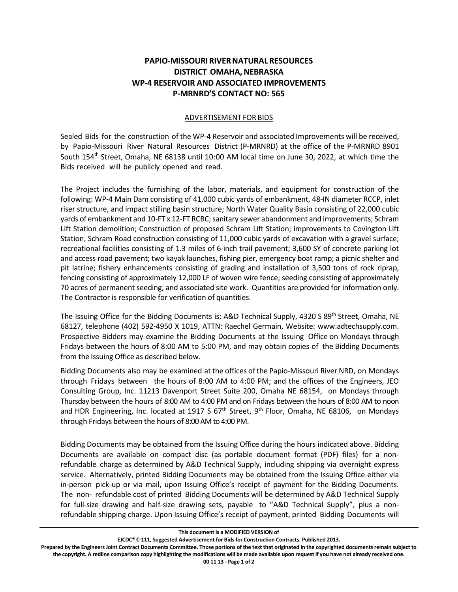## **PAPIO‐MISSOURI RIVER NATURAL RESOURCES DISTRICT OMAHA, NEBRASKA WP‐4 RESERVOIR AND ASSOCIATED IMPROVEMENTS P‐MRNRD'S CONTACT NO: 565**

## ADVERTISEMENT FOR BIDS

Sealed Bids for the construction of the WP-4 Reservoir and associated Improvements will be received, by Papio-Missouri River Natural Resources District (P-MRNRD) at the office of the P-MRNRD 8901 South 154<sup>th</sup> Street, Omaha, NE 68138 until 10:00 AM local time on June 30, 2022, at which time the Bids received will be publicly opened and read.

The Project includes the furnishing of the labor, materials, and equipment for construction of the following: WP-4 Main Dam consisting of 41,000 cubic yards of embankment, 48-IN diameter RCCP, inlet riser structure, and impact stilling basin structure; North Water Quality Basin consisting of 22,000 cubic yards of embankment and 10-FT x 12-FT RCBC; sanitary sewer abandonment and improvements; Schram Lift Station demolition; Construction of proposed Schram Lift Station; improvements to Covington Lift Station; Schram Road construction consisting of 11,000 cubic yards of excavation with a gravel surface; recreational facilities consisting of 1.3 miles of 6-inch trail pavement; 3,600 SY of concrete parking lot and access road pavement; two kayak launches, fishing pier, emergency boat ramp; a picnic shelter and pit latrine; fishery enhancements consisting of grading and installation of 3,500 tons of rock riprap, fencing consisting of approximately 12,000 LF of woven wire fence; seeding consisting of approximately 70 acres of permanent seeding; and associated site work. Quantities are provided for information only. The Contractor is responsible for verification of quantities.

The Issuing Office for the Bidding Documents is: A&D Technical Supply, 4320 S 89<sup>th</sup> Street, Omaha, NE 68127, telephone (402) 592-4950 X 1019, ATTN: Raechel Germain, Website: www.adtechsupply.com. Prospective Bidders may examine the Bidding Documents at the Issuing Office on Mondays through Fridays between the hours of 8:00 AM to 5:00 PM, and may obtain copies of the Bidding Documents from the Issuing Office as described below.

Bidding Documents also may be examined at the offices of the Papio-Missouri River NRD, on Mondays through Fridays between the hours of 8:00 AM to 4:00 PM; and the offices of the Engineers, JEO Consulting Group, Inc. 11213 Davenport Street Suite 200, Omaha NE 68154, on Mondays through Thursday between the hours of 8:00 AM to 4:00 PM and on Fridays between the hours of 8:00 AM to noon and HDR Engineering, Inc. located at 1917 S 67<sup>th</sup> Street, 9<sup>th</sup> Floor, Omaha, NE 68106, on Mondays through Fridays between the hours of 8:00 AM to 4:00 PM.

Bidding Documents may be obtained from the Issuing Office during the hours indicated above. Bidding Documents are available on compact disc (as portable document format (PDF) files) for a nonrefundable charge as determined by A&D Technical Supply, including shipping via overnight express service. Alternatively, printed Bidding Documents may be obtained from the Issuing Office either via in-person pick-up or via mail, upon Issuing Office's receipt of payment for the Bidding Documents. The non- refundable cost of printed Bidding Documents will be determined by A&D Technical Supply for full-size drawing and half-size drawing sets, payable to "A&D Technical Supply", plus a nonrefundable shipping charge. Upon Issuing Office's receipt of payment, printed Bidding Documents will

**EJCDC® C‐111, Suggested Advertisement for Bids for Construction Contracts. Published 2013.** 

**This document is a MODIFIED VERSION of** 

**Prepared by the Engineers Joint Contract Documents Committee. Those portions of the text that originated in the copyrighted documents remain subject to the copyright. A redline comparison copy highlighting the modifications will be made available upon request if you have not already received one.**